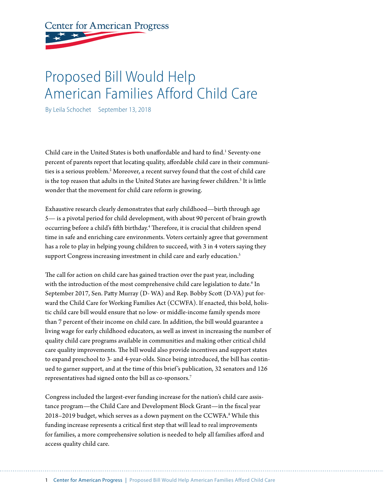# **Center for American Progress**

## Proposed Bill Would Help American Families Afford Child Care

By Leila Schochet September 13, 2018

Child care in the United States is both unaffordable and hard to find.<sup>1</sup> Seventy-one percent of parents report that locating quality, affordable child care in their communities is a serious problem.<sup>2</sup> Moreover, a recent survey found that the cost of child care is the top reason that adults in the United States are having fewer children.<sup>3</sup> It is little wonder that the movement for child care reform is growing.

Exhaustive research clearly demonstrates that early childhood—birth through age 5— is a pivotal period for child development, with about 90 percent of brain growth occurring before a child's fifth birthday.<sup>4</sup> Therefore, it is crucial that children spend time in safe and enriching care environments. Voters certainly agree that government has a role to play in helping young children to succeed, with 3 in 4 voters saying they support Congress increasing investment in child care and early education.<sup>5</sup>

The call for action on child care has gained traction over the past year, including with the introduction of the most comprehensive child care legislation to date.<sup>6</sup> In September 2017, Sen. Patty Murray (D- WA) and Rep. Bobby Scott (D-VA) put forward the Child Care for Working Families Act (CCWFA). If enacted, this bold, holistic child care bill would ensure that no low- or middle-income family spends more than 7 percent of their income on child care. In addition, the bill would guarantee a living wage for early childhood educators, as well as invest in increasing the number of quality child care programs available in communities and making other critical child care quality improvements. The bill would also provide incentives and support states to expand preschool to 3- and 4-year-olds. Since being introduced, the bill has continued to garner support, and at the time of this brief 's publication, 32 senators and 126 representatives had signed onto the bill as co-sponsors.7

Congress included the largest-ever funding increase for the nation's child care assistance program—the Child Care and Development Block Grant—in the fiscal year 2018–2019 budget, which serves as a down payment on the CCWFA.<sup>8</sup> While this funding increase represents a critical first step that will lead to real improvements for families, a more comprehensive solution is needed to help all families afford and access quality child care.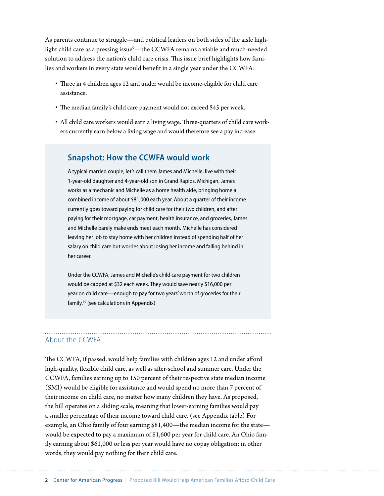As parents continue to struggle—and political leaders on both sides of the aisle highlight child care as a pressing issue<sup>9</sup>—the CCWFA remains a viable and much-needed solution to address the nation's child care crisis. This issue brief highlights how families and workers in every state would benefit in a single year under the CCWFA:

- Three in 4 children ages 12 and under would be income-eligible for child care assistance.
- The median family's child care payment would not exceed \$45 per week.
- All child care workers would earn a living wage. Three-quarters of child care workers currently earn below a living wage and would therefore see a pay increase.

## **Snapshot: How the CCWFA would work**

A typical married couple, let's call them James and Michelle, live with their 1-year-old daughter and 4-year-old son in Grand Rapids, Michigan. James works as a mechanic and Michelle as a home health aide, bringing home a combined income of about \$81,000 each year. About a quarter of their income currently goes toward paying for child care for their two children, and after paying for their mortgage, car payment, health insurance, and groceries, James and Michelle barely make ends meet each month. Michelle has considered leaving her job to stay home with her children instead of spending half of her salary on child care but worries about losing her income and falling behind in her career.

Under the CCWFA, James and Michelle's child care payment for two children would be capped at \$32 each week. They would save nearly \$16,000 per year on child care—enough to pay for two years' worth of groceries for their family.10 (see calculations in Appendix)

## About the CCWFA

The CCWFA, if passed, would help families with children ages 12 and under afford high-quality, flexible child care, as well as after-school and summer care. Under the CCWFA, families earning up to 150 percent of their respective state median income (SMI) would be eligible for assistance and would spend no more than 7 percent of their income on child care, no matter how many children they have. As proposed, the bill operates on a sliding scale, meaning that lower-earning families would pay a smaller percentage of their income toward child care. (see Appendix table) For example, an Ohio family of four earning \$81,400—the median income for the state would be expected to pay a maximum of \$1,600 per year for child care. An Ohio family earning about \$61,000 or less per year would have no copay obligation; in other words, they would pay nothing for their child care.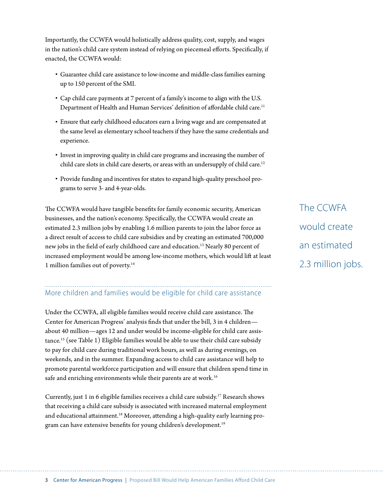Importantly, the CCWFA would holistically address quality, cost, supply, and wages in the nation's child care system instead of relying on piecemeal efforts. Specifically, if enacted, the CCWFA would:

- Guarantee child care assistance to low-income and middle-class families earning up to 150 percent of the SMI.
- Cap child care payments at 7 percent of a family's income to align with the U.S. Department of Health and Human Services' definition of affordable child care.<sup>11</sup>
- Ensure that early childhood educators earn a living wage and are compensated at the same level as elementary school teachers if they have the same credentials and experience.
- Invest in improving quality in child care programs and increasing the number of child care slots in child care deserts, or areas with an undersupply of child care.<sup>12</sup>
- Provide funding and incentives for states to expand high-quality preschool programs to serve 3- and 4-year-olds.

The CCWFA would have tangible benefits for family economic security, American businesses, and the nation's economy. Specifically, the CCWFA would create an estimated 2.3 million jobs by enabling 1.6 million parents to join the labor force as a direct result of access to child care subsidies and by creating an estimated 700,000 new jobs in the field of early childhood care and education.13 Nearly 80 percent of increased employment would be among low-income mothers, which would lift at least 1 million families out of poverty.14

## More children and families would be eligible for child care assistance

Under the CCWFA, all eligible families would receive child care assistance. The Center for American Progress' analysis finds that under the bill, 3 in 4 children about 40 million—ages 12 and under would be income-eligible for child care assistance.15 (see Table 1) Eligible families would be able to use their child care subsidy to pay for child care during traditional work hours, as well as during evenings, on weekends, and in the summer. Expanding access to child care assistance will help to promote parental workforce participation and will ensure that children spend time in safe and enriching environments while their parents are at work.<sup>16</sup>

Currently, just 1 in 6 eligible families receives a child care subsidy.17 Research shows that receiving a child care subsidy is associated with increased maternal employment and educational attainment.<sup>18</sup> Moreover, attending a high-quality early learning program can have extensive benefits for young children's development.<sup>19</sup>

The CCWFA would create an estimated 2.3 million jobs.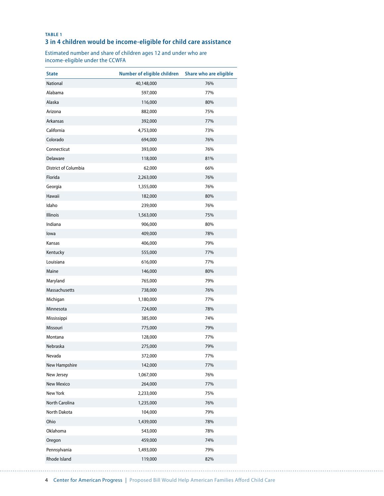#### **TABLE 1 3 in 4 children would be income-eligible for child care assistance**

Estimated number and share of children ages 12 and under who are income-eligible under the CCWFA

| <b>State</b>         | Number of eligible children | Share who are eligible |
|----------------------|-----------------------------|------------------------|
| National             | 40,148,000                  | 76%                    |
| Alabama              | 597,000                     | 77%                    |
| Alaska               | 116,000                     | 80%                    |
| Arizona              | 882,000                     | 75%                    |
| Arkansas             | 392,000                     | 77%                    |
| California           | 4,753,000                   | 73%                    |
| Colorado             | 694,000                     | 76%                    |
| Connecticut          | 393,000                     | 76%                    |
| Delaware             | 118,000                     | 81%                    |
| District of Columbia | 62,000                      | 66%                    |
| Florida              | 2,263,000                   | 76%                    |
| Georgia              | 1,355,000                   | 76%                    |
| Hawaii               | 182,000                     | 80%                    |
| Idaho                | 239,000                     | 76%                    |
| Illinois             | 1,563,000                   | 75%                    |
| Indiana              | 906,000                     | 80%                    |
| lowa                 | 409,000                     | 78%                    |
| Kansas               | 406,000                     | 79%                    |
| Kentucky             | 555,000                     | 77%                    |
| Louisiana            | 616,000                     | 77%                    |
| Maine                | 146,000                     | 80%                    |
| Maryland             | 765,000                     | 79%                    |
| Massachusetts        | 738,000                     | 76%                    |
| Michigan             | 1,180,000                   | 77%                    |
| Minnesota            | 724,000                     | 78%                    |
| Mississippi          | 385,000                     | 74%                    |
| Missouri             | 775,000                     | 79%                    |
| Montana              | 128,000                     | 77%                    |
| Nebraska             | 275,000                     | 79%                    |
| Nevada               | 372,000                     | 77%                    |
| New Hampshire        | 142,000                     | 77%                    |
| New Jersey           | 1,067,000                   | 76%                    |
| <b>New Mexico</b>    | 264,000                     | 77%                    |
| New York             | 2,233,000                   | 75%                    |
| North Carolina       | 1,235,000                   | 76%                    |
| North Dakota         | 104,000                     | 79%                    |
| Ohio                 | 1,439,000                   | 78%                    |
| Oklahoma             | 543,000                     | 78%                    |
| Oregon               | 459,000                     | 74%                    |
| Pennsylvania         | 1,493,000                   | 79%                    |
| Rhode Island         | 119,000                     | 82%                    |

4 Center for American Progress | Proposed Bill Would Help American Families Afford Child Care

. . . . . . . . .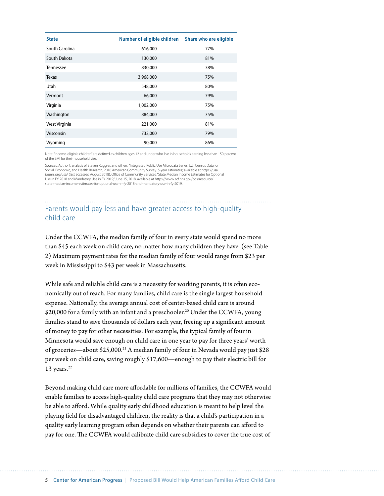| <b>State</b>   | Number of eligible children | Share who are eligible |
|----------------|-----------------------------|------------------------|
| South Carolina | 616,000                     | 77%                    |
| South Dakota   | 130,000                     | 81%                    |
| Tennessee      | 830,000                     | 78%                    |
| <b>Texas</b>   | 3,968,000                   | 75%                    |
| Utah           | 548,000                     | 80%                    |
| Vermont        | 66,000                      | 79%                    |
| Virginia       | 1,002,000                   | 75%                    |
| Washington     | 884,000                     | 75%                    |
| West Virginia  | 221,000                     | 81%                    |
| Wisconsin      | 732,000                     | 79%                    |
| Wyoming        | 90,000                      | 86%                    |

Note: "Income-eligible children" are defined as children ages 12 and under who live in households earning less than 150 percent of the SMI for their household size.

Sources: Author's analysis of Steven Ruggles and others, "Integrated Public Use Microdata Series, U.S. Census Data for Social, Economic, and Health Research, 2016 American Community Survey: 5-year estimates," available at https://usa.<br>ipums.org/usa/ (last accessed August 2018); Office of Community Services, "State Median Income Estimates f Use in FY 2018 and Mandatory Use in FY 2019," June 15, 2018, available at https://www.acf.hhs.gov/ocs/resource/ state-median-income-estimates-for-optional-use-in-fy-2018-and-mandatory-use-in-fy-2019.

## Parents would pay less and have greater access to high-quality child care

Under the CCWFA, the median family of four in every state would spend no more than \$45 each week on child care, no matter how many children they have. (see Table 2) Maximum payment rates for the median family of four would range from \$23 per week in Mississippi to \$43 per week in Massachusetts.

While safe and reliable child care is a necessity for working parents, it is often economically out of reach. For many families, child care is the single largest household expense. Nationally, the average annual cost of center-based child care is around \$20,000 for a family with an infant and a preschooler.<sup>20</sup> Under the CCWFA, young families stand to save thousands of dollars each year, freeing up a significant amount of money to pay for other necessities. For example, the typical family of four in Minnesota would save enough on child care in one year to pay for three years' worth of groceries—about \$25,000.21 A median family of four in Nevada would pay just \$28 per week on child care, saving roughly \$17,600—enough to pay their electric bill for 13 years. $22$ 

Beyond making child care more affordable for millions of families, the CCWFA would enable families to access high-quality child care programs that they may not otherwise be able to afford. While quality early childhood education is meant to help level the playing field for disadvantaged children, the reality is that a child's participation in a quality early learning program often depends on whether their parents can afford to pay for one. The CCWFA would calibrate child care subsidies to cover the true cost of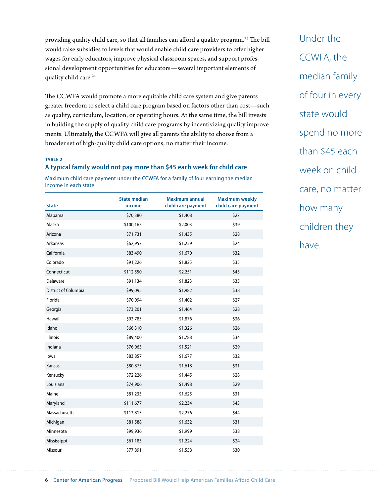providing quality child care, so that all families can afford a quality program.23 The bill would raise subsidies to levels that would enable child care providers to offer higher wages for early educators, improve physical classroom spaces, and support professional development opportunities for educators—several important elements of quality child care.<sup>24</sup>

The CCWFA would promote a more equitable child care system and give parents greater freedom to select a child care program based on factors other than cost—such as quality, curriculum, location, or operating hours. At the same time, the bill invests in building the supply of quality child care programs by incentivizing quality improvements. Ultimately, the CCWFA will give all parents the ability to choose from a broader set of high-quality child care options, no matter their income.

#### **TABLE 2**

### **A typical family would not pay more than \$45 each week for child care**

Maximum child care payment under the CCWFA for a family of four earning the median income in each state

| <b>State</b>         | <b>State median</b><br>income | <b>Maximum annual</b><br>child care payment | <b>Maximum weekly</b><br>child care payment |
|----------------------|-------------------------------|---------------------------------------------|---------------------------------------------|
| Alabama              | \$70,380                      | \$1,408                                     | \$27                                        |
| Alaska               | \$100,165                     | \$2,003                                     | \$39                                        |
| Arizona              | \$71,731                      | \$1,435                                     | \$28                                        |
| Arkansas             | \$62,957                      | \$1,259                                     | \$24                                        |
| California           | \$83,490                      | \$1,670                                     | \$32                                        |
| Colorado             | \$91,226                      | \$1,825                                     | \$35                                        |
| Connecticut          | \$112,550                     | \$2,251                                     | \$43                                        |
| Delaware             | \$91,134                      | \$1,823                                     | \$35                                        |
| District of Columbia | \$99,095                      | \$1,982                                     | \$38                                        |
| Florida              | \$70,094                      | \$1,402                                     | \$27                                        |
| Georgia              | \$73,201                      | \$1,464                                     | \$28                                        |
| Hawaii               | \$93,785                      | \$1,876                                     | \$36                                        |
| Idaho                | \$66,310                      | \$1,326                                     | \$26                                        |
| Illinois             | \$89,400                      | \$1,788                                     | \$34                                        |
| Indiana              | \$76,063                      | \$1,521                                     | \$29                                        |
| lowa                 | \$83,857                      | \$1,677                                     | \$32                                        |
| Kansas               | \$80,875                      | \$1,618                                     | \$31                                        |
| Kentucky             | \$72,226                      | \$1,445                                     | \$28                                        |
| Louisiana            | \$74,906                      | \$1,498                                     | \$29                                        |
| Maine                | \$81,233                      | \$1,625                                     | \$31                                        |
| Maryland             | \$111,677                     | \$2,234                                     | \$43                                        |
| Massachusetts        | \$113,815                     | \$2,276                                     | \$44                                        |
| Michigan             | \$81,588                      | \$1,632                                     | \$31                                        |
| Minnesota            | \$99,936                      | \$1,999                                     | \$38                                        |
| Mississippi          | \$61,183                      | \$1,224                                     | \$24                                        |
| Missouri             | \$77,891                      | \$1,558                                     | \$30                                        |

Under the CCWFA, the median family of four in every state would spend no more than \$45 each week on child care, no matter how many children they have.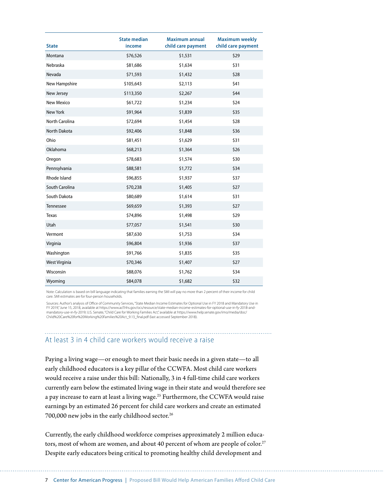| <b>State</b>   | <b>State median</b><br>income | <b>Maximum annual</b><br>child care payment | <b>Maximum weekly</b><br>child care payment |
|----------------|-------------------------------|---------------------------------------------|---------------------------------------------|
| Montana        | \$76,526                      | \$1,531                                     | \$29                                        |
| Nebraska       | \$81,686                      | \$1,634                                     | \$31                                        |
| Nevada         | \$71,593                      | \$1,432                                     | \$28                                        |
| New Hampshire  | \$105,643                     | \$2,113                                     | \$41                                        |
| New Jersey     | \$113,350                     | \$2,267                                     | \$44                                        |
| New Mexico     | \$61,722                      | \$1,234                                     | \$24                                        |
| New York       | \$91,964                      | \$1,839                                     | \$35                                        |
| North Carolina | \$72,694                      | \$1,454                                     | \$28                                        |
| North Dakota   | \$92,406                      | \$1,848                                     | \$36                                        |
| Ohio           | \$81,451                      | \$1,629                                     | \$31                                        |
| Oklahoma       | \$68,213                      | \$1,364                                     | \$26                                        |
| Oregon         | \$78,683                      | \$1,574                                     | \$30                                        |
| Pennsylvania   | \$88,581                      | \$1,772                                     | \$34                                        |
| Rhode Island   | \$96,855                      | \$1,937                                     | \$37                                        |
| South Carolina | \$70,238                      | \$1,405                                     | \$27                                        |
| South Dakota   | \$80,689                      | \$1,614                                     | \$31                                        |
| Tennessee      | \$69,659                      | \$1,393                                     | \$27                                        |
| <b>Texas</b>   | \$74,896                      | \$1,498                                     | \$29                                        |
| Utah           | \$77,057                      | \$1,541                                     | \$30                                        |
| Vermont        | \$87,630                      | \$1,753                                     | \$34                                        |
| Virginia       | \$96,804                      | \$1,936                                     | \$37                                        |
| Washington     | \$91,766                      | \$1,835                                     | \$35                                        |
| West Virginia  | \$70,346                      | \$1,407                                     | \$27                                        |
| Wisconsin      | \$88,076                      | \$1,762                                     | \$34                                        |
| Wyoming        | \$84,078                      | \$1,682                                     | \$32                                        |

Note: Calculation is based on bill language indicating that families earning the SMI will pay no more than 2 percent of their income for child care. SMI estimates are for four-person households.

Sources: Author's analysis of Office of Community Services, "State Median Income Estimates for Optional Use in FY 2018 and Mandatory Use in<br>FY 2019," June 15, 2018, available at https://www.acf.hhs.gov/ocs/resource/state-m mandatory-use-in-fy-2019; U.S. Senate, "Child Care for Working Families Act," available at https://www.help.senate.gov/imo/media/doc/ Child%20Care%20for%20Working%20Families%20Act\_9.13\_final.pdf (last accessed September 2018).

## At least 3 in 4 child care workers would receive a raise

Paying a living wage—or enough to meet their basic needs in a given state—to all early childhood educators is a key pillar of the CCWFA. Most child care workers would receive a raise under this bill: Nationally, 3 in 4 full-time child care workers currently earn below the estimated living wage in their state and would therefore see a pay increase to earn at least a living wage.25 Furthermore, the CCWFA would raise earnings by an estimated 26 percent for child care workers and create an estimated 700,000 new jobs in the early childhood sector.<sup>26</sup>

Currently, the early childhood workforce comprises approximately 2 million educators, most of whom are women, and about 40 percent of whom are people of color.<sup>27</sup> Despite early educators being critical to promoting healthy child development and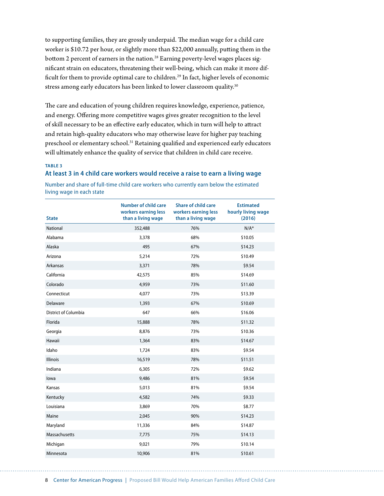to supporting families, they are grossly underpaid. The median wage for a child care worker is \$10.72 per hour, or slightly more than \$22,000 annually, putting them in the bottom 2 percent of earners in the nation.<sup>28</sup> Earning poverty-level wages places significant strain on educators, threatening their well-being, which can make it more difficult for them to provide optimal care to children.<sup>29</sup> In fact, higher levels of economic stress among early educators has been linked to lower classroom quality.<sup>30</sup>

The care and education of young children requires knowledge, experience, patience, and energy. Offering more competitive wages gives greater recognition to the level of skill necessary to be an effective early educator, which in turn will help to attract and retain high-quality educators who may otherwise leave for higher pay teaching preschool or elementary school.31 Retaining qualified and experienced early educators will ultimately enhance the quality of service that children in child care receive.

#### **TABLE 3**

#### **At least 3 in 4 child care workers would receive a raise to earn a living wage**

Number and share of full-time child care workers who currently earn below the estimated living wage in each state

| <b>State</b>         | <b>Number of child care</b><br>workers earning less<br>than a living wage | <b>Share of child care</b><br>workers earning less<br>than a living wage | <b>Estimated</b><br>hourly living wage<br>(2016) |
|----------------------|---------------------------------------------------------------------------|--------------------------------------------------------------------------|--------------------------------------------------|
| <b>National</b>      | 352,488                                                                   | 76%                                                                      | $N/A^*$                                          |
| Alabama              | 3,378                                                                     | 68%                                                                      | \$10.05                                          |
| Alaska               | 495                                                                       | 67%                                                                      | \$14.23                                          |
| Arizona              | 5,214                                                                     | 72%                                                                      | \$10.49                                          |
| Arkansas             | 3,371                                                                     | 78%                                                                      | \$9.54                                           |
| California           | 42,575                                                                    | 85%                                                                      | \$14.69                                          |
| Colorado             | 4,959                                                                     | 73%                                                                      | \$11.60                                          |
| Connecticut          | 4,077                                                                     | 73%                                                                      | \$13.39                                          |
| Delaware             | 1,393                                                                     | 67%                                                                      | \$10.69                                          |
| District of Columbia | 647                                                                       | 66%                                                                      | \$16.06                                          |
| Florida              | 15,888                                                                    | 78%                                                                      | \$11.32                                          |
| Georgia              | 8,876                                                                     | 73%                                                                      | \$10.36                                          |
| Hawaii               | 1,364                                                                     | 83%                                                                      | \$14.67                                          |
| Idaho                | 1,724                                                                     | 83%                                                                      | \$9.54                                           |
| Illinois             | 16,519                                                                    | 78%                                                                      | \$11.51                                          |
| Indiana              | 6,305                                                                     | 72%                                                                      | \$9.62                                           |
| lowa                 | 9,486                                                                     | 81%                                                                      | \$9.54                                           |
| Kansas               | 5,013                                                                     | 81%                                                                      | \$9.54                                           |
| Kentucky             | 4,582                                                                     | 74%                                                                      | \$9.33                                           |
| Louisiana            | 3,869                                                                     | 70%                                                                      | \$8.77                                           |
| Maine                | 2,045                                                                     | 90%                                                                      | \$14.23                                          |
| Maryland             | 11,336                                                                    | 84%                                                                      | \$14.87                                          |
| Massachusetts        | 7,775                                                                     | 75%                                                                      | \$14.13                                          |
| Michigan             | 9,021                                                                     | 79%                                                                      | \$10.14                                          |
| Minnesota            | 10,906                                                                    | 81%                                                                      | \$10.61                                          |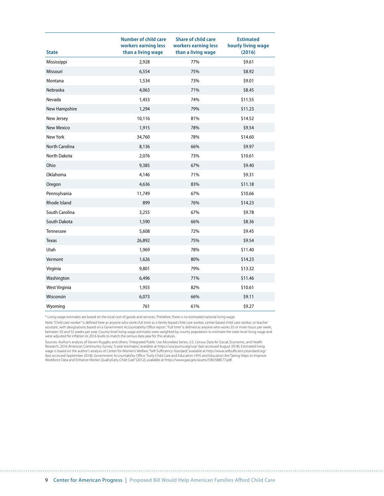| <b>State</b>          | <b>Number of child care</b><br>workers earning less<br>than a living wage | <b>Share of child care</b><br>workers earning less<br>than a living wage | <b>Estimated</b><br>hourly living wage<br>(2016) |
|-----------------------|---------------------------------------------------------------------------|--------------------------------------------------------------------------|--------------------------------------------------|
| Mississippi           | 2,928                                                                     | 77%                                                                      | \$9.61                                           |
| Missouri              | 6,554                                                                     | 75%                                                                      | \$8.92                                           |
| Montana               | 1,534                                                                     | 73%                                                                      | \$9.01                                           |
| Nebraska              | 4,063                                                                     | 71%                                                                      | \$8.45                                           |
| Nevada                | 1,453                                                                     | 74%                                                                      | \$11.55                                          |
| New Hampshire         | 1,294                                                                     | 79%                                                                      | \$11.23                                          |
| New Jersey            | 10,116                                                                    | 81%                                                                      | \$14.52                                          |
| <b>New Mexico</b>     | 1,915                                                                     | 78%                                                                      | \$9.54                                           |
| New York              | 34,760                                                                    | 78%                                                                      | \$14.60                                          |
| <b>North Carolina</b> | 8,136                                                                     | 66%                                                                      | \$9.97                                           |
| North Dakota          | 2,076                                                                     | 73%                                                                      | \$10.61                                          |
| Ohio                  | 9,385                                                                     | 67%                                                                      | \$9.40                                           |
| Oklahoma              | 4,146                                                                     | 71%                                                                      | \$9.31                                           |
| Oregon                | 4,636                                                                     | 83%                                                                      | \$11.18                                          |
| Pennsylvania          | 11,749                                                                    | 67%                                                                      | \$10.66                                          |
| Rhode Island          | 899                                                                       | 76%                                                                      | \$14.23                                          |
| South Carolina        | 3,255                                                                     | 67%                                                                      | \$9.78                                           |
| South Dakota          | 1,590                                                                     | 66%                                                                      | \$8.36                                           |
| Tennessee             | 5,608                                                                     | 72%                                                                      | \$9.45                                           |
| <b>Texas</b>          | 26,892                                                                    | 75%                                                                      | \$9.54                                           |
| Utah                  | 1,969                                                                     | 78%                                                                      | \$11.40                                          |
| Vermont               | 1,626                                                                     | 80%                                                                      | \$14.23                                          |
| Virginia              | 9,801                                                                     | 79%                                                                      | \$13.32                                          |
| Washington            | 6,496                                                                     | 71%                                                                      | \$11.46                                          |
| West Virginia         | 1,955                                                                     | 82%                                                                      | \$10.61                                          |
| Wisconsin             | 6,073                                                                     | 66%                                                                      | \$9.11                                           |
| Wyoming               | 761                                                                       | 61%                                                                      | \$9.27                                           |

\* Living wage estimates are based on the local cost of goods and services. Therefore, there is no estimated national living wage.

Note: "Child care worker" is defined here as anyone who works full time as a family-based child care worker, center-based child care worker, or teacher assistant, with designations based on a Government Accountability Office report. "Full time" is defined as anyone who works 35 or more hours per week, between 50 and 52 weeks per year. County-level living wage estimates were weighted by county population to estimate the state-level living wage and were adjusted for inflation to 2016 levels to match the census data year for this analysis.

Sources: Author's analysis of Steven Ruggles and others, "Integrated Public Use Microdata Series, U.S. Census Data for Social, Economic, and Health Research, 2016 American Community Survey: 5-year estimates," available at https://usa.jpums.org/usa/ (last accessed August 2018). Estimated living<br>wage is based on the author's analysis of Center for Women's Welfare, "Self Workforce Data and Enhance Worker QualityEarly Child Care" (2012), available at https://www.gao.gov/assets/590/588577.pdf.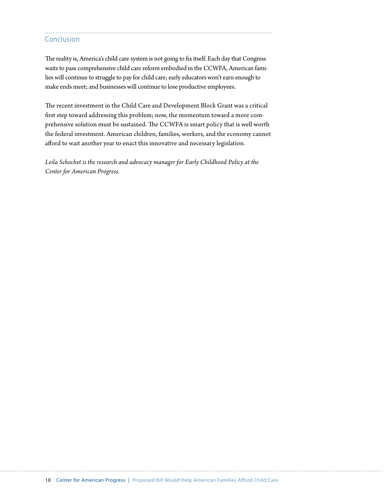## Conclusion

The reality is, America's child care system is not going to fix itself. Each day that Congress waits to pass comprehensive child care reform embodied in the CCWFA, American families will continue to struggle to pay for child care; early educators won't earn enough to make ends meet; and businesses will continue to lose productive employees.

The recent investment in the Child Care and Development Block Grant was a critical first step toward addressing this problem; now, the momentum toward a more comprehensive solution must be sustained. The CCWFA is smart policy that is well worth the federal investment. American children, families, workers, and the economy cannot afford to wait another year to enact this innovative and necessary legislation.

*Leila Schochet is the research and advocacy manager for Early Childhood Policy at the Center for American Progress.*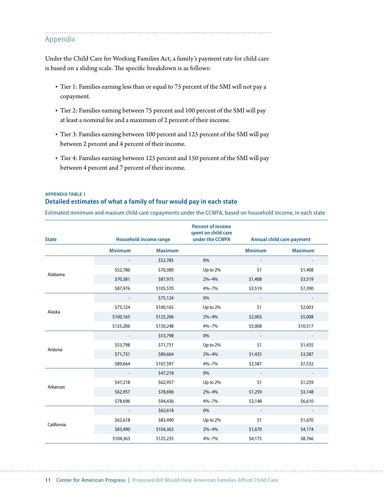Appendix

Under the Child Care for Working Families Act, a family's payment rate for child care is based on a sliding scale. The specific breakdown is as follows:

- Tier 1: Families earning less than or equal to 75 percent of the SMI will not pay a copayment.
- Tier 2: Families earning between 75 percent and 100 percent of the SMI will pay at least a nominal fee and a maximum of 2 percent of their income.
- Tier 3: Families earning between 100 percent and 125 percent of the SMI will pay between 2 percent and 4 percent of their income.
- Tier 4: Families earning between 125 percent and 150 percent of the SMI will pay between 4 percent and 7 percent of their income.

## **APPENDIX TABLE 1 Detailed estimates of what a family of four would pay in each state**

Estimated minimum and maxium child care copayments under the CCWFA, based on household income, in each state

| <b>State</b> | <b>Household income range</b> |                | <b>Percent of income</b><br>spent on child care<br>under the CCWFA |                | Annual child care payment |
|--------------|-------------------------------|----------------|--------------------------------------------------------------------|----------------|---------------------------|
|              | <b>Minimum</b>                | <b>Maximum</b> |                                                                    | <b>Minimum</b> | <b>Maximum</b>            |
|              |                               | \$52,785       | 0%                                                                 |                |                           |
| Alabama      | \$52,786                      | \$70,380       | Up to 2%                                                           | \$1            | \$1,408                   |
|              | \$70,381                      | \$87,975       | $2\% - 4\%$                                                        | \$1,408        | \$3,519                   |
|              | \$87,976                      | \$105,570      | $4\% - 7\%$                                                        | \$3,519        | \$7,390                   |
|              |                               | \$75,124       | 0%                                                                 |                |                           |
| Alaska       | \$75,124                      | \$100,165      | Up to 2%                                                           | \$1            | \$2,003                   |
|              | \$100,165                     | \$125,206      | $2\% - 4\%$                                                        | \$2,003        | \$5,008                   |
|              | \$125,206                     | \$150,248      | 4%-7%                                                              | \$5,008        | \$10,517                  |
|              |                               | \$53,798       | 0%                                                                 |                |                           |
| Arizona      | \$53,798                      | \$71,731       | Up to 2%                                                           | \$1            | \$1,435                   |
|              | \$71,731                      | \$89,664       | $2\% - 4\%$                                                        | \$1,435        | \$3,587                   |
|              | \$89,664                      | \$107,597      | 4%-7%                                                              | \$3,587        | \$7,532                   |
|              |                               | \$47,218       | 0%                                                                 |                |                           |
| Arkansas     | \$47,218                      | \$62,957       | Up to 2%                                                           | \$1            | \$1,259                   |
|              | \$62,957                      | \$78,696       | $2\% - 4\%$                                                        | \$1,259        | \$3,148                   |
|              | \$78,696                      | \$94,436       | $4\% - 7\%$                                                        | \$3,148        | \$6,610                   |
|              |                               | \$62,618       | 0%                                                                 |                |                           |
| California   | \$62,618                      | \$83,490       | Up to 2%                                                           | \$1            | \$1,670                   |
|              | \$83,490                      | \$104,363      | $2\% - 4\%$                                                        | \$1,670        | \$4,174                   |
|              | \$104,363                     | \$125,235      | 4%-7%                                                              | \$4,175        | \$8,766                   |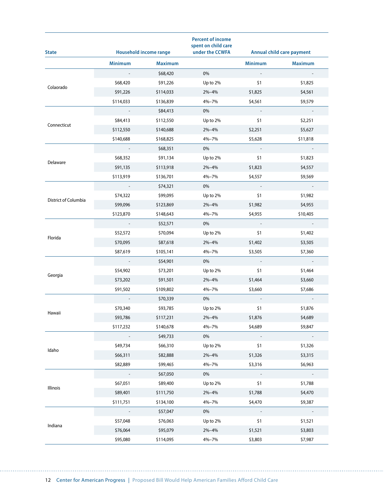| <b>State</b>         |                | <b>Household income range</b> | <b>Percent of income</b><br>spent on child care<br>under the CCWFA |                | Annual child care payment |
|----------------------|----------------|-------------------------------|--------------------------------------------------------------------|----------------|---------------------------|
|                      | <b>Minimum</b> | <b>Maximum</b>                |                                                                    | <b>Minimum</b> | <b>Maximum</b>            |
|                      |                | \$68,420                      | 0%                                                                 |                |                           |
|                      | \$68,420       | \$91,226                      | Up to 2%                                                           | \$1            | \$1,825                   |
| Colaorado            | \$91,226       | \$114,033                     | 2%-4%                                                              | \$1,825        | \$4,561                   |
|                      | \$114,033      | \$136,839                     | 4%-7%                                                              | \$4,561        | \$9,579                   |
| Connecticut          |                | \$84,413                      | 0%                                                                 |                |                           |
|                      | \$84,413       | \$112,550                     | Up to 2%                                                           | \$1            | \$2,251                   |
|                      | \$112,550      | \$140,688                     | $2\% - 4\%$                                                        | \$2,251        | \$5,627                   |
|                      | \$140,688      | \$168,825                     | 4%-7%                                                              | \$5,628        | \$11,818                  |
|                      |                | \$68,351                      | 0%                                                                 |                |                           |
| Delaware             | \$68,352       | \$91,134                      | Up to 2%                                                           | \$1            | \$1,823                   |
|                      | \$91,135       | \$113,918                     | 2%-4%                                                              | \$1,823        | \$4,557                   |
|                      | \$113,919      | \$136,701                     | 4%-7%                                                              | \$4,557        | \$9,569                   |
| District of Columbia |                | \$74,321                      | 0%                                                                 |                |                           |
|                      | \$74,322       | \$99,095                      | Up to 2%                                                           | \$1            | \$1,982                   |
|                      | \$99,096       | \$123,869                     | 2%-4%                                                              | \$1,982        | \$4,955                   |
|                      | \$123,870      | \$148,643                     | 4%-7%                                                              | \$4,955        | \$10,405                  |
| Florida              |                | \$52,571                      | 0%                                                                 |                |                           |
|                      | \$52,572       | \$70,094                      | Up to 2%                                                           | \$1            | \$1,402                   |
|                      | \$70,095       | \$87,618                      | 2%-4%                                                              | \$1,402        | \$3,505                   |
|                      | \$87,619       | \$105,141                     | 4%-7%                                                              | \$3,505        | \$7,360                   |
|                      |                | \$54,901                      | 0%                                                                 |                |                           |
|                      | \$54,902       | \$73,201                      | Up to 2%                                                           | \$1            | \$1,464                   |
| Georgia              | \$73,202       | \$91,501                      | 2%-4%                                                              | \$1,464        | \$3,660                   |
|                      | \$91,502       | \$109,802                     | 4%-7%                                                              | \$3,660        | \$7,686                   |
|                      |                | \$70,339                      | 0%                                                                 |                |                           |
|                      | \$70,340       | \$93,785                      | Up to 2%                                                           | \$1            | \$1,876                   |
| Hawaii               | \$93,786       | \$117,231                     | 2%-4%                                                              | \$1,876        | \$4,689                   |
|                      | \$117,232      | \$140,678                     | 4%-7%                                                              | \$4,689        | \$9,847                   |
|                      |                | \$49,733                      | 0%                                                                 |                |                           |
|                      | \$49,734       | \$66,310                      | Up to 2%                                                           | \$1            | \$1,326                   |
| Idaho                | \$66,311       | \$82,888                      | 2%-4%                                                              | \$1,326        | \$3,315                   |
|                      | \$82,889       | \$99,465                      | 4%-7%                                                              | \$3,316        | \$6,963                   |
|                      |                | \$67,050                      | 0%                                                                 |                |                           |
|                      | \$67,051       | \$89,400                      | Up to 2%                                                           | \$1            | \$1,788                   |
| Illinois             | \$89,401       | \$111,750                     | $2\% - 4\%$                                                        | \$1,788        | \$4,470                   |
|                      | \$111,751      | \$134,100                     | 4%-7%                                                              | \$4,470        | \$9,387                   |
|                      |                | \$57,047                      | 0%                                                                 |                |                           |
|                      | \$57,048       | \$76,063                      | Up to 2%                                                           | \$1            | \$1,521                   |
| Indiana              | \$76,064       | \$95,079                      | $2\% - 4\%$                                                        | \$1,521        | \$3,803                   |
|                      | \$95,080       | \$114,095                     | 4%-7%                                                              | \$3,803        | \$7,987                   |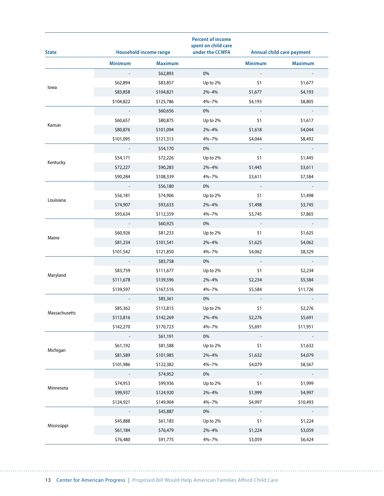| <b>State</b>  |                | <b>Household income range</b> | <b>Percent of income</b><br>spent on child care<br>under the CCWFA |                | <b>Annual child care payment</b> |
|---------------|----------------|-------------------------------|--------------------------------------------------------------------|----------------|----------------------------------|
|               | <b>Minimum</b> | <b>Maximum</b>                |                                                                    | <b>Minimum</b> | <b>Maximum</b>                   |
|               |                | \$62,893                      | 0%                                                                 |                |                                  |
|               | \$62,894       | \$83,857                      | Up to 2%                                                           | \$1            | \$1,677                          |
| lowa          | \$83,858       | \$104,821                     | 2%-4%                                                              | \$1,677        | \$4,193                          |
|               | \$104,822      | \$125,786                     | 4%-7%                                                              | \$4,193        | \$8,805                          |
| Kansas        |                | \$60,656                      | 0%                                                                 |                |                                  |
|               | \$60,657       | \$80,875                      | Up to 2%                                                           | \$1            | \$1,617                          |
|               | \$80,876       | \$101,094                     | 2%-4%                                                              | \$1,618        | \$4,044                          |
|               | \$101,095      | \$121,313                     | 4%-7%                                                              | \$4,044        | \$8,492                          |
| Kentucky      |                | \$54,170                      | 0%                                                                 |                |                                  |
|               | \$54,171       | \$72,226                      | Up to 2%                                                           | \$1            | \$1,445                          |
|               | \$72,227       | \$90,283                      | 2%-4%                                                              | \$1,445        | \$3,611                          |
|               | \$90,284       | \$108,339                     | 4%-7%                                                              | \$3,611        | \$7,584                          |
|               |                | \$56,180                      | 0%                                                                 |                |                                  |
|               | \$56,181       | \$74,906                      | Up to 2%                                                           | \$1            | \$1,498                          |
| Louisiana     | \$74,907       | \$93,633                      | $2\% - 4\%$                                                        | \$1,498        | \$3,745                          |
|               | \$93,634       | \$112,359                     | 4%-7%                                                              | \$3,745        | \$7,865                          |
| Maine         |                | \$60,925                      | 0%                                                                 |                |                                  |
|               | \$60,926       | \$81,233                      | Up to 2%                                                           | \$1            | \$1,625                          |
|               | \$81,234       | \$101,541                     | 2%-4%                                                              | \$1,625        | \$4,062                          |
|               | \$101,542      | \$121,850                     | 4%-7%                                                              | \$4,062        | \$8,529                          |
|               |                | \$83,758                      | 0%                                                                 |                |                                  |
|               | \$83,759       | \$111,677                     | Up to 2%                                                           | \$1            | \$2,234                          |
| Maryland      | \$111,678      | \$139,596                     | 2%-4%                                                              | \$2,234        | \$5,584                          |
|               | \$139,597      | \$167,516                     | 4%-7%                                                              | \$5,584        | \$11,726                         |
|               |                | \$85,361                      | 0%                                                                 |                |                                  |
|               | \$85,362       | \$113,815                     | Up to 2%                                                           | \$1            | \$2,276                          |
| Massachusetts | \$113,816      | \$142,269                     | 2%-4%                                                              | \$2,276        | \$5,691                          |
|               | \$142,270      | \$170,723                     | 4%-7%                                                              | \$5,691        | \$11,951                         |
|               |                | \$61,191                      | 0%                                                                 |                |                                  |
|               | \$61,192       | \$81,588                      | Up to 2%                                                           | \$1            | \$1,632                          |
| Michigan      | \$81,589       | \$101,985                     | 2%-4%                                                              | \$1,632        | \$4,079                          |
|               | \$101,986      | \$122,382                     | 4%-7%                                                              | \$4,079        | \$8,567                          |
|               |                | \$74,952                      | 0%                                                                 |                |                                  |
|               | \$74,953       | \$99,936                      | Up to 2%                                                           | \$1            | \$1,999                          |
| Minnesota     | \$99,937       | \$124,920                     | $2\% - 4\%$                                                        | \$1,999        | \$4,997                          |
|               | \$124,921      | \$149,904                     | 4%-7%                                                              | \$4,997        | \$10,493                         |
|               |                | \$45,887                      | 0%                                                                 |                |                                  |
|               | \$45,888       | \$61,183                      | Up to 2%                                                           | \$1            | \$1,224                          |
| Mississippi   | \$61,184       | \$76,479                      | $2\% - 4\%$                                                        | \$1,224        | \$3,059                          |
|               | \$76,480       | \$91,775                      | 4%-7%                                                              | \$3,059        | \$6,424                          |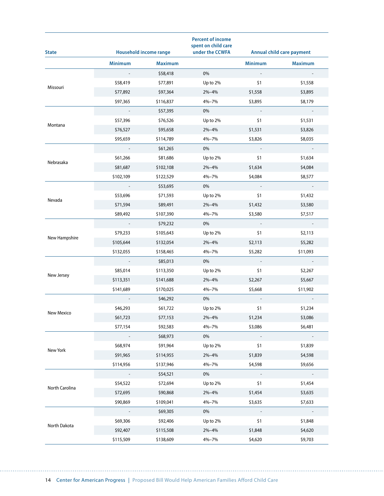| <b>State</b>   |                | <b>Household income range</b> | <b>Percent of income</b><br>spent on child care<br>under the CCWFA |                | Annual child care payment |
|----------------|----------------|-------------------------------|--------------------------------------------------------------------|----------------|---------------------------|
|                | <b>Minimum</b> | <b>Maximum</b>                |                                                                    | <b>Minimum</b> | <b>Maximum</b>            |
|                |                | \$58,418                      | 0%                                                                 |                |                           |
|                | \$58,419       | \$77,891                      | Up to 2%                                                           | \$1            | \$1,558                   |
| Missouri       | \$77,892       | \$97,364                      | 2%-4%                                                              | \$1,558        | \$3,895                   |
|                | \$97,365       | \$116,837                     | 4%-7%                                                              | \$3,895        | \$8,179                   |
| Montana        |                | \$57,395                      | 0%                                                                 |                |                           |
|                | \$57,396       | \$76,526                      | Up to 2%                                                           | \$1            | \$1,531                   |
|                | \$76,527       | \$95,658                      | 2%-4%                                                              | \$1,531        | \$3,826                   |
|                | \$95,659       | \$114,789                     | 4%-7%                                                              | \$3,826        | \$8,035                   |
|                |                | \$61,265                      | 0%                                                                 |                |                           |
|                | \$61,266       | \$81,686                      | Up to 2%                                                           | \$1            | \$1,634                   |
| Nebrasaka      | \$81,687       | \$102,108                     | 2%-4%                                                              | \$1,634        | \$4,084                   |
|                | \$102,109      | \$122,529                     | 4%-7%                                                              | \$4,084        | \$8,577                   |
| Nevada         |                | \$53,695                      | 0%                                                                 |                |                           |
|                | \$53,696       | \$71,593                      | Up to 2%                                                           | \$1            | \$1,432                   |
|                | \$71,594       | \$89,491                      | 2%-4%                                                              | \$1,432        | \$3,580                   |
|                | \$89,492       | \$107,390                     | 4%-7%                                                              | \$3,580        | \$7,517                   |
| New Hampshire  |                | \$79,232                      | 0%                                                                 |                |                           |
|                | \$79,233       | \$105,643                     | Up to 2%                                                           | \$1            | \$2,113                   |
|                | \$105,644      | \$132,054                     | 2%-4%                                                              | \$2,113        | \$5,282                   |
|                | \$132,055      | \$158,465                     | 4%-7%                                                              | \$5,282        | \$11,093                  |
|                |                | \$85,013                      | 0%                                                                 |                |                           |
|                | \$85,014       | \$113,350                     | Up to 2%                                                           | \$1            | \$2,267                   |
| New Jersey     | \$113,351      | \$141,688                     | 2%-4%                                                              | \$2,267        | \$5,667                   |
|                | \$141,689      | \$170,025                     | 4%-7%                                                              | \$5,668        | \$11,902                  |
|                |                | \$46,292                      | 0%                                                                 |                |                           |
|                | \$46,293       | \$61,722                      | Up to 2%                                                           | \$1            | \$1,234                   |
| New Mexico     | \$61,723       | \$77,153                      | $2% - 4%$                                                          | \$1,234        | \$3,086                   |
|                | \$77,154       | \$92,583                      | 4%-7%                                                              | \$3,086        | \$6,481                   |
|                |                | \$68,973                      | 0%                                                                 |                |                           |
|                | \$68,974       | \$91,964                      | Up to 2%                                                           | \$1            | \$1,839                   |
| New York       | \$91,965       | \$114,955                     | 2%-4%                                                              | \$1,839        | \$4,598                   |
|                | \$114,956      | \$137,946                     | 4%-7%                                                              | \$4,598        | \$9,656                   |
|                |                | \$54,521                      | 0%                                                                 |                |                           |
|                | \$54,522       | \$72,694                      | Up to 2%                                                           | \$1            | \$1,454                   |
| North Carolina | \$72,695       | \$90,868                      | $2\% - 4\%$                                                        | \$1,454        | \$3,635                   |
|                | \$90,869       | \$109,041                     | 4%-7%                                                              | \$3,635        | \$7,633                   |
|                |                | \$69,305                      | 0%                                                                 |                |                           |
|                | \$69,306       | \$92,406                      | Up to 2%                                                           | \$1            | \$1,848                   |
| North Dakota   | \$92,407       | \$115,508                     | $2\% - 4\%$                                                        | \$1,848        | \$4,620                   |
|                | \$115,509      | \$138,609                     | 4%-7%                                                              | \$4,620        | \$9,703                   |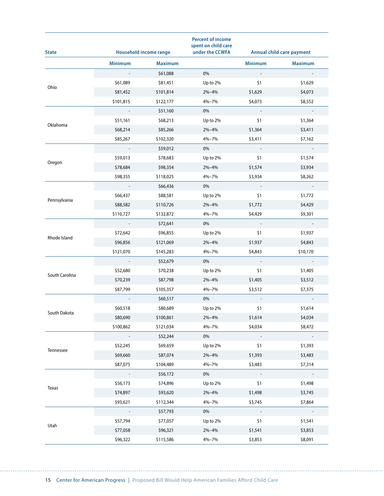| <b>State</b>   |                | <b>Household income range</b> | <b>Percent of income</b><br>spent on child care<br>under the CCWFA |                | Annual child care payment |
|----------------|----------------|-------------------------------|--------------------------------------------------------------------|----------------|---------------------------|
|                | <b>Minimum</b> | <b>Maximum</b>                |                                                                    | <b>Minimum</b> | <b>Maximum</b>            |
|                |                | \$61,088                      | 0%                                                                 |                |                           |
|                | \$61,089       | \$81,451                      | Up to 2%                                                           | \$1            | \$1,629                   |
| Ohio           | \$81,452       | \$101,814                     | $2\% - 4\%$                                                        | \$1,629        | \$4,073                   |
|                | \$101,815      | \$122,177                     | 4%-7%                                                              | \$4,073        | \$8,552                   |
| Oklahoma       |                | \$51,160                      | 0%                                                                 |                |                           |
|                | \$51,161       | \$68,213                      | Up to 2%                                                           | \$1            | \$1,364                   |
|                | \$68,214       | \$85,266                      | 2%-4%                                                              | \$1,364        | \$3,411                   |
|                | \$85,267       | \$102,320                     | 4%-7%                                                              | \$3,411        | \$7,162                   |
|                |                | \$59,012                      | 0%                                                                 |                |                           |
|                | \$59,013       | \$78,683                      | Up to 2%                                                           | \$1            | \$1,574                   |
| Oregon         | \$78,684       | \$98,354                      | 2%-4%                                                              | \$1,574        | \$3,934                   |
|                | \$98,355       | \$118,025                     | 4%-7%                                                              | \$3,934        | \$8,262                   |
|                |                | \$66,436                      | 0%                                                                 |                |                           |
|                | \$66,437       | \$88,581                      | Up to 2%                                                           | \$1            | \$1,772                   |
| Pennsylvania   | \$88,582       | \$110,726                     | 2%-4%                                                              | \$1,772        | \$4,429                   |
|                | \$110,727      | \$132,872                     | 4%-7%                                                              | \$4,429        | \$9,301                   |
|                |                | \$72,641                      | 0%                                                                 |                |                           |
| Rhode Island   | \$72,642       | \$96,855                      | Up to 2%                                                           | \$1            | \$1,937                   |
|                | \$96,856       | \$121,069                     | 2%-4%                                                              | \$1,937        | \$4,843                   |
|                | \$121,070      | \$145,283                     | 4%-7%                                                              | \$4,843        | \$10,170                  |
|                |                | \$52,679                      | 0%                                                                 |                |                           |
|                | \$52,680       | \$70,238                      | Up to 2%                                                           | \$1            | \$1,405                   |
| South Carolina | \$70,239       | \$87,798                      | 2%-4%                                                              | \$1,405        | \$3,512                   |
|                | \$87,799       | \$105,357                     | 4%-7%                                                              | \$3,512        | \$7,375                   |
|                |                | \$60,517                      | 0%                                                                 |                |                           |
|                | \$60,518       | \$80,689                      | Up to 2%                                                           | \$1            | \$1,614                   |
| South Dakota   | \$80,690       | \$100,861                     | 2%-4%                                                              | \$1,614        | \$4,034                   |
|                | \$100,862      | \$121,034                     | 4%-7%                                                              | \$4,034        | \$8,472                   |
|                |                | \$52,244                      | 0%                                                                 |                |                           |
|                | \$52,245       | \$69,659                      | Up to 2%                                                           | \$1            | \$1,393                   |
| Tennessee      | \$69,660       | \$87,074                      | 2%-4%                                                              | \$1,393        | \$3,483                   |
|                | \$87,075       | \$104,489                     | 4%-7%                                                              | \$3,483        | \$7,314                   |
|                |                | \$56,172                      | 0%                                                                 |                |                           |
|                | \$56,173       | \$74,896                      | Up to 2%                                                           | \$1            | \$1,498                   |
| Texas          | \$74,897       | \$93,620                      | $2\% - 4\%$                                                        | \$1,498        | \$3,745                   |
|                | \$93,621       | \$112,344                     | 4%-7%                                                              | \$3,745        | \$7,864                   |
|                |                | \$57,793                      | 0%                                                                 |                |                           |
|                | \$57,794       | \$77,057                      | Up to 2%                                                           | \$1            | \$1,541                   |
| Utah           | \$77,058       | \$96,321                      | $2\% - 4\%$                                                        | \$1,541        | \$3,853                   |
|                | \$96,322       | \$115,586                     | 4%-7%                                                              | \$3,853        | \$8,091                   |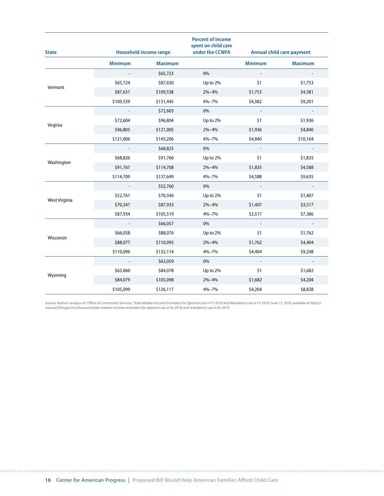| <b>State</b>  | <b>Household income range</b> |                | <b>Percent of income</b><br>spent on child care<br>under the CCWFA |                          | <b>Annual child care payment</b> |
|---------------|-------------------------------|----------------|--------------------------------------------------------------------|--------------------------|----------------------------------|
|               | <b>Minimum</b>                | <b>Maximum</b> |                                                                    | <b>Minimum</b>           | <b>Maximum</b>                   |
|               |                               | \$65,723       | 0%                                                                 | $\overline{\phantom{a}}$ |                                  |
| Vermont       | \$65,724                      | \$87,630       | Up to 2%                                                           | \$1                      | \$1,753                          |
|               | \$87,631                      | \$109,538      | $2\% - 4\%$                                                        | \$1,753                  | \$4,381                          |
|               | \$109,539                     | \$131,445      | 4%-7%                                                              | \$4,382                  | \$9,201                          |
|               |                               | \$72,603       | 0%                                                                 | $\overline{\phantom{a}}$ |                                  |
|               | \$72,604                      | \$96,804       | Up to 2%                                                           | \$1                      | \$1,936                          |
| Virginia      | \$96,805                      | \$121,005      | $2\% - 4\%$                                                        | \$1,936                  | \$4,840                          |
|               | \$121,006                     | \$145,206      | 4%-7%                                                              | \$4,840                  | \$10,164                         |
| Washington    |                               | \$68,825       | 0%                                                                 |                          |                                  |
|               | \$68,826                      | \$91,766       | Up to 2%                                                           | \$1                      | \$1,835                          |
|               | \$91,767                      | \$114,708      | $2\% - 4\%$                                                        | \$1,835                  | \$4,588                          |
|               | \$114,709                     | \$137,649      | 4%-7%                                                              | \$4,588                  | \$9,635                          |
|               |                               | \$52,760       | 0%                                                                 |                          |                                  |
|               | \$52,761                      | \$70,346       | Up to 2%                                                           | \$1                      | \$1,407                          |
| West Virginia | \$70,347                      | \$87,933       | $2\% - 4\%$                                                        | \$1,407                  | \$3,517                          |
|               | \$87,934                      | \$105,519      | 4%-7%                                                              | \$3,517                  | \$7,386                          |
|               |                               | \$66,057       | 0%                                                                 |                          |                                  |
| Wisconsin     | \$66,058                      | \$88,076       | Up to 2%                                                           | \$1                      | \$1,762                          |
|               | \$88,077                      | \$110,095      | $2% - 4%$                                                          | \$1,762                  | \$4,404                          |
|               | \$110,096                     | \$132,114      | 4%-7%                                                              | \$4,404                  | \$9,248                          |
|               |                               | \$63,059       | 0%                                                                 | $\sim$                   | $\sim$                           |
|               | \$63,060                      | \$84,078       | Up to 2%                                                           | \$1                      | \$1,682                          |
| Wyoming       | \$84,079                      | \$105,098      | $2\% - 4\%$                                                        | \$1,682                  | \$4,204                          |
|               | \$105,099                     | \$126,117      | 4%-7%                                                              | \$4,204                  | \$8,828                          |

Source: Author's analysis of Office of Community Services,"State Median Income Estimates for Optional Use in FY 2018 and Mandatory Use in FY 2019," June 15, 2018, available at https://<br>www.acf.hhs.gov/ocs/resource/state-me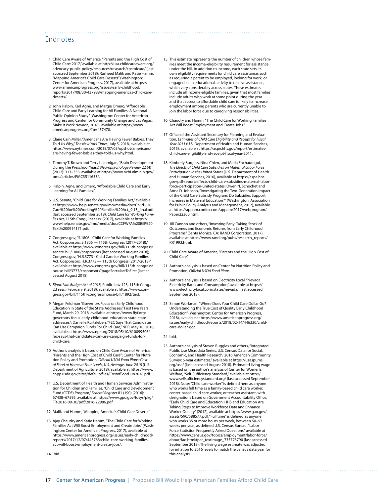## Endnotes

- 1 Child Care Aware of America, "Parents and the High Cost of Child Care: 2017," available at [http://usa.childcareaware.org/](http://usa.childcareaware.org/advocacy-public-policy/resources/research/costofcare/) [advocacy-public-policy/resources/research/costofcare/](http://usa.childcareaware.org/advocacy-public-policy/resources/research/costofcare/) (last accessed September 2018); Rasheed Malik and Katie Hamm, "Mapping America's Child Care Deserts" (Washington: Center for American Progress, 2017), available at [https://](https://www.americanprogress.org/issues/early-childhood/reports/2017/08/30/437988/mapping-americas-child-care-deserts/) [www.americanprogress.org/issues/early-childhood/](https://www.americanprogress.org/issues/early-childhood/reports/2017/08/30/437988/mapping-americas-child-care-deserts/) [reports/2017/08/30/437988/mapping-americas-child-care](https://www.americanprogress.org/issues/early-childhood/reports/2017/08/30/437988/mapping-americas-child-care-deserts/)[deserts/.](https://www.americanprogress.org/issues/early-childhood/reports/2017/08/30/437988/mapping-americas-child-care-deserts/)
- 2 John Halpin, Karl Agne, and Margie Omero, "Affordable Child Care and Early Learning for All Families: A National Public Opinion Study" (Washington: Center for American Progress and Center for Community Change and Las Vegas: Make It Work Nevada, 2018), available at [https://www.](https://www.americanprogress.org/?p=457470) [americanprogress.org/?p=457470.](https://www.americanprogress.org/?p=457470)
- 3 Claire Cain Miller, "Americans Are Having Fewer Babies. They Told Us Why," *The New York Times*, July 5, 2018, available at [https://www.nytimes.com/2018/07/05/upshot/americans](https://www.nytimes.com/2018/07/05/upshot/americans-are-having-fewer-babies-they-told-us-why.html)[are-having-fewer-babies-they-told-us-why.html](https://www.nytimes.com/2018/07/05/upshot/americans-are-having-fewer-babies-they-told-us-why.html).
- 4 Timothy T. Brown and Terry L. Jernigan, "Brain Development During the Preschool Years," *Neuropsychology Review* 22 (4) (2012): 313–333, available at [https://www.ncbi.nlm.nih.gov/](https://www.ncbi.nlm.nih.gov/pmc/articles/PMC3511633/) [pmc/articles/PMC3511633/.](https://www.ncbi.nlm.nih.gov/pmc/articles/PMC3511633/)
- 5 Halpin, Agne, and Omero, "Affordable Child Care and Early Learning for All Families."
- 6 U.S. Senate, "Child Care for Working Families Act," available at [https://www.help.senate.gov/imo/media/doc/Child%20](https://www.help.senate.gov/imo/media/doc/Child%20Care%20for%20Working%20Families%20Act_9.13_final.pdf) [Care%20for%20Working%20Families%20Act\\_9.13\\_final.pdf](https://www.help.senate.gov/imo/media/doc/Child%20Care%20for%20Working%20Families%20Act_9.13_final.pdf) (last accessed September 2018); *Child Care for Working Families Act*, 115th Cong., 1st sess. (2017), available at [https://](https://www.help.senate.gov/imo/media/doc/CCFWFA%20Bill%20Text%200914171.pdf) [www.help.senate.gov/imo/media/doc/CCFWFA%20Bill%20](https://www.help.senate.gov/imo/media/doc/CCFWFA%20Bill%20Text%200914171.pdf) [Text%200914171.pdf.](https://www.help.senate.gov/imo/media/doc/CCFWFA%20Bill%20Text%200914171.pdf)
- 7 Congress.gov, "S.1806 Child Care for Working Families Act, Cosponsors: S.1806 — 115th Congress (2017-2018)," available at [https://www.congress.gov/bill/115th-congress/](https://www.congress.gov/bill/115th-congress/senate-bill/1806/cosponsors) [senate-bill/1806/cosponsors](https://www.congress.gov/bill/115th-congress/senate-bill/1806/cosponsors) (last accessed August 2018); Congress.gov, "H.R.3773 - Child Care for Working Families Act, Cosponsors: H.R.3773 — 115th Congress (2017-2018)," available at [https://www.congress.gov/bill/115th-congress/](https://www.congress.gov/bill/115th-congress/house-bill/3773/cosponsors?pageSort=lastToFirst) [house-bill/3773/cosponsors?pageSort=lastToFirst](https://www.congress.gov/bill/115th-congress/house-bill/3773/cosponsors?pageSort=lastToFirst) (last accessed August 2018).
- 8 *Bipartisan Budget Act of 2018,* Public Law 123, 115th Cong., 2d sess. (February 9, 2018), available at [https://www.con](https://www.congress.gov/bill/115th-congress/house-bill/1892/text)[gress.gov/bill/115th-congress/house-bill/1892/text](https://www.congress.gov/bill/115th-congress/house-bill/1892/text).
- 9 Megan Feldman "Governors Focus on Early Childhood Education in State of the State Addresses," First Five Years Fund, March 29, 2018, available at [https://www.ffyf.org/](https://www.ffyf.org/governors-focus-early-childhood-education-state-state-addresses/) [governors-focus-early-childhood-education-state-state](https://www.ffyf.org/governors-focus-early-childhood-education-state-state-addresses/)[addresses/](https://www.ffyf.org/governors-focus-early-childhood-education-state-state-addresses/); Danielle Kurtzleben, "FEC Says That Candidates Can Use Campaign Funds For Child Care," NPR, May 10, 2018, available at [https://www.npr.org/2018/05/10/610099506/](https://www.npr.org/2018/05/10/610099506/fec-says-that-candidates-can-use-campaign-funds-for-child-care) [fec-says-that-candidates-can-use-campaign-funds-for](https://www.npr.org/2018/05/10/610099506/fec-says-that-candidates-can-use-campaign-funds-for-child-care)[child-care.](https://www.npr.org/2018/05/10/610099506/fec-says-that-candidates-can-use-campaign-funds-for-child-care)
- 10 Author's analysis is based on Child Care Aware of America, "Parents and the High Cost of Child Care"; Center for Nutrition Policy and Promotion, *Official USDA Food Plans: Cost of Food at Home at Four Levels, U.S. Average, June 2018* (U.S. Department of Agriculture, 2018), available at [https://www.](https://www.cnpp.usda.gov/sites/default/files/CostofFoodJun2018.pdf) [cnpp.usda.gov/sites/default/files/CostofFoodJun2018.pdf](https://www.cnpp.usda.gov/sites/default/files/CostofFoodJun2018.pdf).
- 11 U.S. Department of Health and Human Services Administration for Children and Families, "Child Care and Development Fund (CCDF) Program," *Federal Register* 81 (190) (2016): 67438–67595, available at [https://www.gpo.gov/fdsys/pkg/](https://www.gpo.gov/fdsys/pkg/FR-2016-09-30/pdf/2016-22986.pdf) [FR-2016-09-30/pdf/2016-22986.pdf](https://www.gpo.gov/fdsys/pkg/FR-2016-09-30/pdf/2016-22986.pdf).
- 12 Malik and Hamm, "Mapping America's Child Care Deserts."
- 13 Ajay Chaudry and Katie Hamm, "The Child Care for Working Families Act Will Boost Employment and Create Jobs" (Washington: Center for American Progress, 2017), available at [https://www.americanprogress.org/issues/early-childhood/](https://www.americanprogress.org/issues/early-childhood/reports/2017/12/07/443783/child-care-working-families-act-will-boost-employment-create-jobs/) [reports/2017/12/07/443783/child-care-working-families](https://www.americanprogress.org/issues/early-childhood/reports/2017/12/07/443783/child-care-working-families-act-will-boost-employment-create-jobs/)[act-will-boost-employment-create-jobs/.](https://www.americanprogress.org/issues/early-childhood/reports/2017/12/07/443783/child-care-working-families-act-will-boost-employment-create-jobs/)
- 14 Ibid.

15 This estimate represents the number of children whose families meet the income-eligibility requirement for assistance under the bill. In addition to income, each state sets its own eligibility requirements for child care assistance, such as requiring a parent to be employed, looking for work, or engaged in an educational activity to receive assistance, which vary considerably across states. These estimates include all income-eligible families, given that most families include adults who work at some point during the year and that access to affordable child care is likely to increase employment among parents who are currently unable to join the labor force due to caregiving responsibilities.

- 16 Chaudry and Hamm, "The Child Care for Working Families Act Will Boost Employment and Create Jobs."
- 17 Office of the Assistant Secretary for Planning and Evaluation, *Estimates of Child Care Eligibility and Receipt for Fiscal Year 2011* (U.S. Department of Health and Human Services, 2015), available at [https://aspe.hhs.gov/report/estimates](https://aspe.hhs.gov/report/estimates-child-care-eligibility-and-receipt-fiscal-year-2011)[child-care-eligibility-and-receipt-fiscal-year-2011.](https://aspe.hhs.gov/report/estimates-child-care-eligibility-and-receipt-fiscal-year-2011)
- 18 Kimberly Burgess, Nina Chien, and Maria Enchautegui, *The Effects of Child Care Subsidies on Maternal Labor Force Participation in the United States* (U.S. Department of Health and Human Services, 2016), available at [https://aspe.hhs.](https://aspe.hhs.gov/pdf-report/effects-child-care-subsidies-maternal-labor-force-participation-united-states) [gov/pdf-report/effects-child-care-subsidies-maternal-labor](https://aspe.hhs.gov/pdf-report/effects-child-care-subsidies-maternal-labor-force-participation-united-states)[force-participation-united-states](https://aspe.hhs.gov/pdf-report/effects-child-care-subsidies-maternal-labor-force-participation-united-states); Owen N. Schochet and Anna D. Johnson, "Investigating the Two-Generation Impact of the Child Care Subsidy Program: Do Subsidies Support Increases in Maternal Education?" (Washington: Association for Public Policy Analysis and Management, 2017), available at [https://appam.confex.com/appam/2017/webprogram/](https://appam.confex.com/appam/2017/webprogram/Paper22300.html) [Paper22300.html](https://appam.confex.com/appam/2017/webprogram/Paper22300.html).
- 19 Jill Cannon and others, "Investing Early: Taking Stock of Outcomes and Economic Returns from Early Childhood Programs" (Santa Monica, CA: RAND Corporation, 2017), available at [https://www.rand.org/pubs/research\\_reports/](https://www.rand.org/pubs/research_reports/RR1993.html) [RR1993.html.](https://www.rand.org/pubs/research_reports/RR1993.html)
- 20 Child Care Aware of America, "Parents and the High Cost of Child Care."
- 21 Author's analysis is based on Center for Nutrition Policy and Promotion, *Official USDA Food Plans*.
- 22 Author's analysis is based on Electricity Local, "Nevada Electricity Rates and Consumption," available at [https://](https://www.electricitylocal.com/states/nevada/) [www.electricitylocal.com/states/nevada/](https://www.electricitylocal.com/states/nevada/) (last accessed September 2018).
- 23 Simon Workman, "Where Does Your Child Care Dollar Go? Understanding the True Cost of Quality Early Childhood Education" (Washington: Center for American Progress, 2018), available at [https://www.americanprogress.org/](https://www.americanprogress.org/issues/early-childhood/reports/2018/02/14/446330/child-care-dollar-go/) [issues/early-childhood/reports/2018/02/14/446330/child](https://www.americanprogress.org/issues/early-childhood/reports/2018/02/14/446330/child-care-dollar-go/)[care-dollar-go/](https://www.americanprogress.org/issues/early-childhood/reports/2018/02/14/446330/child-care-dollar-go/).

#### 24 Ibid.

25 Author's analysis of Steven Ruggles and others, "Integrated Public Use Microdata Series, U.S. Census Data for Social, Economic, and Health Research, 2016 American Community Survey: 5-year estimates," available at [https://usa.ipums.](https://usa.ipums.org/usa/) [org/usa/](https://usa.ipums.org/usa/) (last accessed August 2018). Estimated living wage is based on the author's analysis of Center for Women's Welfare, "Self-Sufficiency Standard," available at [http://](http://www.selfsufficiencystandard.org/) [www.selfsufficiencystandard.org/](http://www.selfsufficiencystandard.org/) (last accessed September 2018). Note: "Child care worker" is defined here as anyone who works full time as a family-based child care worker, center-based child care worker, or teacher assistant, with designations based on Government Accountability Office, "Early Child Care and Education: HHS and Education Are Taking Steps to Improve Workforce Data and Enhance Worker Quality" (2012), available at [https://www.gao.gov/](https://www.gao.gov/assets/590/588577.pdf) [assets/590/588577.pdf](https://www.gao.gov/assets/590/588577.pdf). "Full time" is defined as anyone who works 35 or more hours per week, between 50–52 weeks per year, as defined U.S. Census Bureau, "Labor Force Statistics: Frequently Asked Questions," available at https://www.census.gov/topics/employment/labor-force/ about/faq.html#par\_textimage\_735773790 (last accessed September 2018). The living wage estimate was adjusted for inflation to 2016 levels to match the census data year for this analysis.